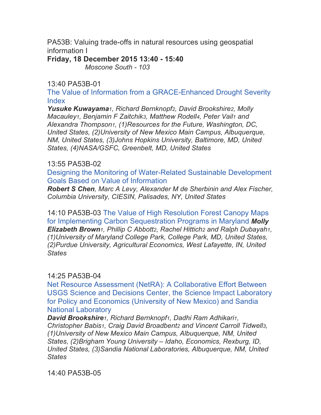PA53B: Valuing trade-offs in natural resources using geospatial information I

**Friday, 18 December 2015 13:40 - 15:40**

*Moscone South - 103*

## 13:40 PA53B-01

The Value of Information from a GRACE-Enhanced Drought Severity Index

*Yusuke Kuwayama1, Richard Bernknopf2, David Brookshire2, Molly Macauley1, Benjamin F Zaitchik3, Matthew Rodell4, Peter Vail1 and Alexandra Thompson1, (1)Resources for the Future, Washington, DC, United States, (2)University of New Mexico Main Campus, Albuquerque, NM, United States, (3)Johns Hopkins University, Baltimore, MD, United States, (4)NASA/GSFC, Greenbelt, MD, United States*

### 13:55 PA53B-02

Designing the Monitoring of Water-Related Sustainable Development Goals Based on Value of Information

*Robert S Chen, Marc A Levy, Alexander M de Sherbinin and Alex Fischer, Columbia University, CIESIN, Palisades, NY, United States*

14:10 PA53B-03 The Value of High Resolution Forest Canopy Maps for Implementing Carbon Sequestration Programs in Maryland *Molly Elizabeth Brown1, Phillip C Abbott2, Rachel Hittich2 and Ralph Dubayah1, (1)University of Maryland College Park, College Park, MD, United States, (2)Purdue University, Agricultural Economics, West Lafayette, IN, United States* 

# 14:25 PA53B-04

Net Resource Assessment (NetRA): A Collaborative Effort Between USGS Science and Decisions Center, the Science Impact Laboratory for Policy and Economics (University of New Mexico) and Sandia National Laboratory

*David Brookshire1, Richard Bernknopf1, Dadhi Ram Adhikari1, Christopher Babis1, Craig David Broadbent2 and Vincent Carroll Tidwell3, (1)University of New Mexico Main Campus, Albuquerque, NM, United States, (2)Brigham Young University – Idaho, Economics, Rexburg, ID, United States, (3)Sandia National Laboratories, Albuquerque, NM, United States*

14:40 PA53B-05